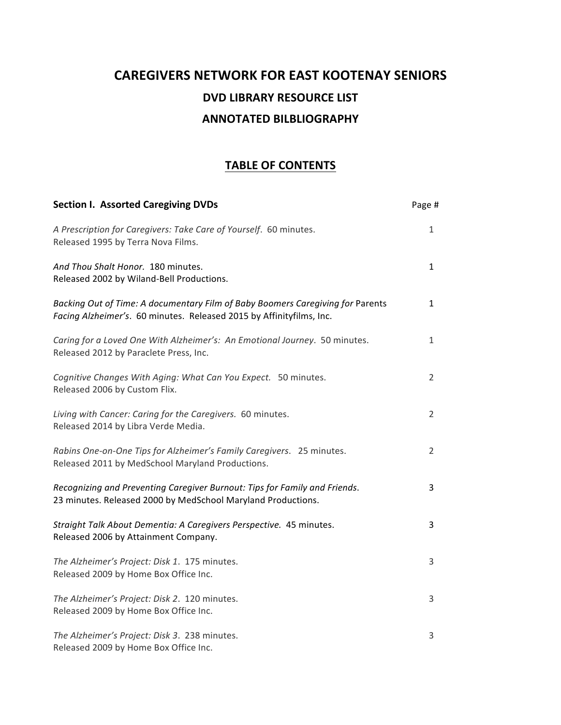# **CAREGIVERS NETWORK FOR EAST KOOTENAY SENIORS DVD LIBRARY RESOURCE LIST ANNOTATED BILBLIOGRAPHY**

## **TABLE OF CONTENTS**

| <b>Section I. Assorted Caregiving DVDs</b>                                                                                                             | Page #         |
|--------------------------------------------------------------------------------------------------------------------------------------------------------|----------------|
| A Prescription for Caregivers: Take Care of Yourself. 60 minutes.<br>Released 1995 by Terra Nova Films.                                                | $\mathbf{1}$   |
| And Thou Shalt Honor. 180 minutes.<br>Released 2002 by Wiland-Bell Productions.                                                                        | $\mathbf{1}$   |
| Backing Out of Time: A documentary Film of Baby Boomers Caregiving for Parents<br>Facing Alzheimer's. 60 minutes. Released 2015 by Affinityfilms, Inc. | $\mathbf{1}$   |
| Caring for a Loved One With Alzheimer's: An Emotional Journey. 50 minutes.<br>Released 2012 by Paraclete Press, Inc.                                   | $\mathbf{1}$   |
| Cognitive Changes With Aging: What Can You Expect. 50 minutes.<br>Released 2006 by Custom Flix.                                                        | $\overline{2}$ |
| Living with Cancer: Caring for the Caregivers. 60 minutes.<br>Released 2014 by Libra Verde Media.                                                      | $\overline{2}$ |
| Rabins One-on-One Tips for Alzheimer's Family Caregivers. 25 minutes.<br>Released 2011 by MedSchool Maryland Productions.                              | $\overline{2}$ |
| Recognizing and Preventing Caregiver Burnout: Tips for Family and Friends.<br>23 minutes. Released 2000 by MedSchool Maryland Productions.             | 3              |
| Straight Talk About Dementia: A Caregivers Perspective. 45 minutes.<br>Released 2006 by Attainment Company.                                            | 3              |
| The Alzheimer's Project: Disk 1. 175 minutes.<br>Released 2009 by Home Box Office Inc.                                                                 | 3              |
| The Alzheimer's Project: Disk 2. 120 minutes.<br>Released 2009 by Home Box Office Inc.                                                                 | 3              |
| The Alzheimer's Project: Disk 3. 238 minutes.<br>Released 2009 by Home Box Office Inc.                                                                 | 3              |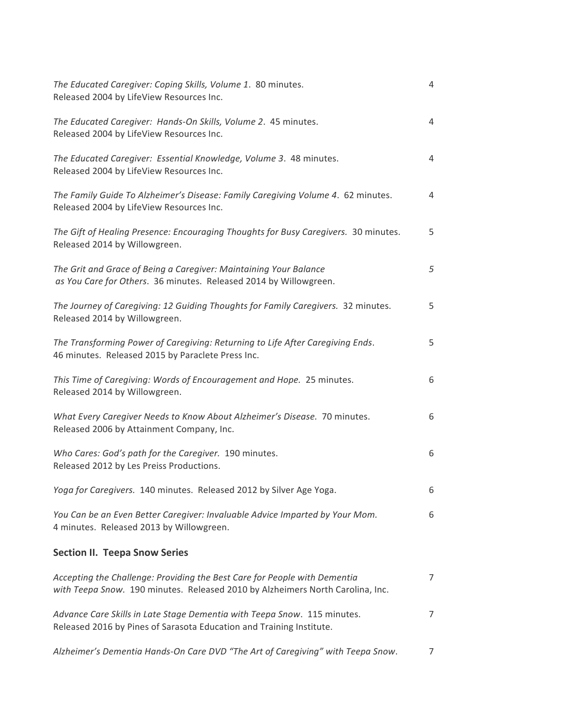| The Educated Caregiver: Coping Skills, Volume 1. 80 minutes.<br>Released 2004 by LifeView Resources Inc.                                                    | 4               |
|-------------------------------------------------------------------------------------------------------------------------------------------------------------|-----------------|
| The Educated Caregiver: Hands-On Skills, Volume 2. 45 minutes.<br>Released 2004 by LifeView Resources Inc.                                                  | 4               |
| The Educated Caregiver: Essential Knowledge, Volume 3. 48 minutes.<br>Released 2004 by LifeView Resources Inc.                                              | 4               |
| The Family Guide To Alzheimer's Disease: Family Caregiving Volume 4. 62 minutes.<br>Released 2004 by LifeView Resources Inc.                                | 4               |
| The Gift of Healing Presence: Encouraging Thoughts for Busy Caregivers. 30 minutes.<br>Released 2014 by Willowgreen.                                        | 5               |
| The Grit and Grace of Being a Caregiver: Maintaining Your Balance<br>as You Care for Others. 36 minutes. Released 2014 by Willowgreen.                      | 5               |
| The Journey of Caregiving: 12 Guiding Thoughts for Family Caregivers. 32 minutes.<br>Released 2014 by Willowgreen.                                          | 5               |
| The Transforming Power of Caregiving: Returning to Life After Caregiving Ends.<br>46 minutes. Released 2015 by Paraclete Press Inc.                         | 5               |
| This Time of Caregiving: Words of Encouragement and Hope. 25 minutes.<br>Released 2014 by Willowgreen.                                                      | 6               |
| What Every Caregiver Needs to Know About Alzheimer's Disease. 70 minutes.<br>Released 2006 by Attainment Company, Inc.                                      | 6               |
| Who Cares: God's path for the Caregiver. 190 minutes.<br>Released 2012 by Les Preiss Productions.                                                           | 6               |
| Yoga for Caregivers. 140 minutes. Released 2012 by Silver Age Yoga.                                                                                         | 6               |
| You Can be an Even Better Caregiver: Invaluable Advice Imparted by Your Mom.<br>4 minutes. Released 2013 by Willowgreen.                                    | 6               |
| <b>Section II. Teepa Snow Series</b>                                                                                                                        |                 |
| Accepting the Challenge: Providing the Best Care for People with Dementia<br>with Teepa Snow. 190 minutes. Released 2010 by Alzheimers North Carolina, Inc. | $7\overline{ }$ |
| Advance Care Skills in Late Stage Dementia with Teepa Snow. 115 minutes.<br>Released 2016 by Pines of Sarasota Education and Training Institute.            | $\overline{7}$  |
| Alzheimer's Dementia Hands-On Care DVD "The Art of Caregiving" with Teepa Snow.                                                                             | $\overline{7}$  |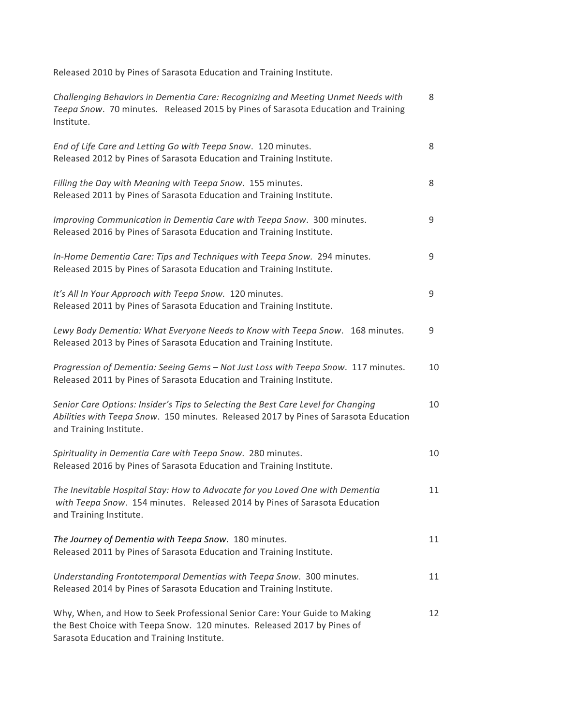Released 2010 by Pines of Sarasota Education and Training Institute.

| Challenging Behaviors in Dementia Care: Recognizing and Meeting Unmet Needs with<br>Teepa Snow. 70 minutes. Released 2015 by Pines of Sarasota Education and Training<br>Institute.                  | 8  |
|------------------------------------------------------------------------------------------------------------------------------------------------------------------------------------------------------|----|
| End of Life Care and Letting Go with Teepa Snow. 120 minutes.<br>Released 2012 by Pines of Sarasota Education and Training Institute.                                                                | 8  |
| Filling the Day with Meaning with Teepa Snow. 155 minutes.<br>Released 2011 by Pines of Sarasota Education and Training Institute.                                                                   | 8  |
| Improving Communication in Dementia Care with Teepa Snow. 300 minutes.<br>Released 2016 by Pines of Sarasota Education and Training Institute.                                                       | 9  |
| In-Home Dementia Care: Tips and Techniques with Teepa Snow. 294 minutes.<br>Released 2015 by Pines of Sarasota Education and Training Institute.                                                     | 9  |
| It's All In Your Approach with Teepa Snow. 120 minutes.<br>Released 2011 by Pines of Sarasota Education and Training Institute.                                                                      | 9  |
| Lewy Body Dementia: What Everyone Needs to Know with Teepa Snow. 168 minutes.<br>Released 2013 by Pines of Sarasota Education and Training Institute.                                                | 9  |
| Progression of Dementia: Seeing Gems - Not Just Loss with Teepa Snow. 117 minutes.<br>Released 2011 by Pines of Sarasota Education and Training Institute.                                           | 10 |
| Senior Care Options: Insider's Tips to Selecting the Best Care Level for Changing<br>Abilities with Teepa Snow. 150 minutes. Released 2017 by Pines of Sarasota Education<br>and Training Institute. | 10 |
| Spirituality in Dementia Care with Teepa Snow. 280 minutes.<br>Released 2016 by Pines of Sarasota Education and Training Institute.                                                                  | 10 |
| The Inevitable Hospital Stay: How to Advocate for you Loved One with Dementia<br>with Teepa Snow. 154 minutes. Released 2014 by Pines of Sarasota Education<br>and Training Institute.               | 11 |
| The Journey of Dementia with Teepa Snow. 180 minutes.<br>Released 2011 by Pines of Sarasota Education and Training Institute.                                                                        | 11 |
| Understanding Frontotemporal Dementias with Teepa Snow. 300 minutes.<br>Released 2014 by Pines of Sarasota Education and Training Institute.                                                         | 11 |
| Why, When, and How to Seek Professional Senior Care: Your Guide to Making<br>the Best Choice with Teepa Snow. 120 minutes. Released 2017 by Pines of<br>Sarasota Education and Training Institute.   | 12 |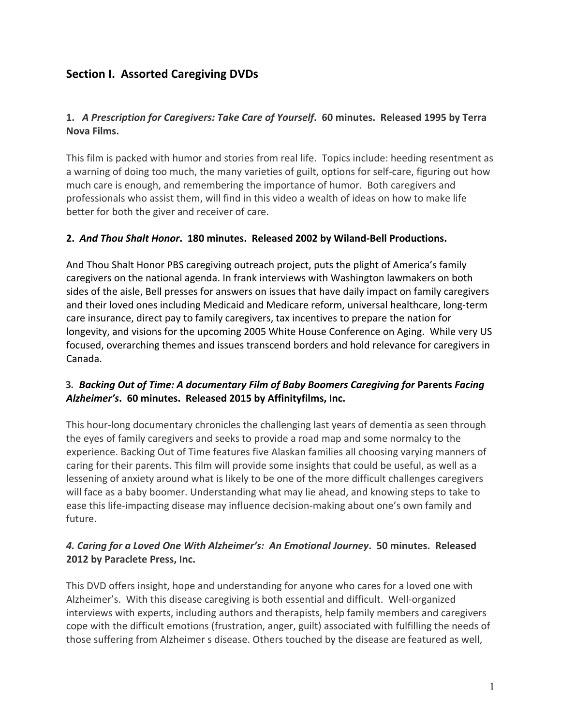## **Section I. Assorted Caregiving DVDs**

## 1. A Prescription for Caregivers: Take Care of Yourself. 60 minutes. Released 1995 by Terra **Nova Films.**

This film is packed with humor and stories from real life. Topics include: heeding resentment as a warning of doing too much, the many varieties of guilt, options for self-care, figuring out how much care is enough, and remembering the importance of humor. Both caregivers and professionals who assist them, will find in this video a wealth of ideas on how to make life better for both the giver and receiver of care.

#### **2.** *And Thou Shalt Honor***. 180 minutes. Released 2002 by Wiland-Bell Productions.**

And Thou Shalt Honor PBS caregiving outreach project, puts the plight of America's family caregivers on the national agenda. In frank interviews with Washington lawmakers on both sides of the aisle, Bell presses for answers on issues that have daily impact on family caregivers and their loved ones including Medicaid and Medicare reform, universal healthcare, long-term care insurance, direct pay to family caregivers, tax incentives to prepare the nation for longevity, and visions for the upcoming 2005 White House Conference on Aging. While very US focused, overarching themes and issues transcend borders and hold relevance for caregivers in Canada.

#### **3.** Backing Out of Time: A documentary Film of Baby Boomers Caregiving for Parents Facing Alzheimer's. 60 minutes. Released 2015 by Affinityfilms, Inc.

This hour-long documentary chronicles the challenging last years of dementia as seen through the eyes of family caregivers and seeks to provide a road map and some normalcy to the experience. Backing Out of Time features five Alaskan families all choosing varying manners of caring for their parents. This film will provide some insights that could be useful, as well as a lessening of anxiety around what is likely to be one of the more difficult challenges caregivers will face as a baby boomer. Understanding what may lie ahead, and knowing steps to take to ease this life-impacting disease may influence decision-making about one's own family and future.

## 4. Caring for a Loved One With Alzheimer's: An Emotional Journey. 50 minutes. Released **2012 by Paraclete Press, Inc.**

This DVD offers insight, hope and understanding for anyone who cares for a loved one with Alzheimer's. With this disease caregiving is both essential and difficult. Well-organized interviews with experts, including authors and therapists, help family members and caregivers cope with the difficult emotions (frustration, anger, guilt) associated with fulfilling the needs of those suffering from Alzheimer s disease. Others touched by the disease are featured as well,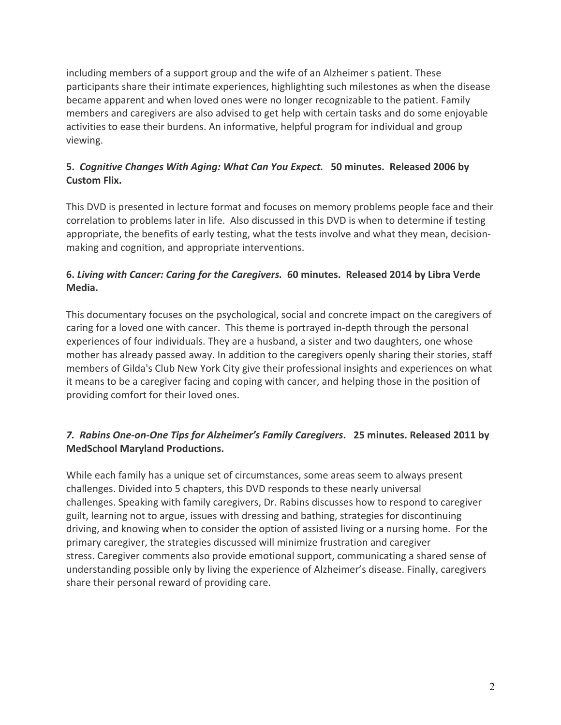including members of a support group and the wife of an Alzheimer s patient. These participants share their intimate experiences, highlighting such milestones as when the disease became apparent and when loved ones were no longer recognizable to the patient. Family members and caregivers are also advised to get help with certain tasks and do some enjoyable activities to ease their burdens. An informative, helpful program for individual and group viewing.

## 5. *Cognitive Changes With Aging: What Can You Expect.* 50 minutes. Released 2006 by **Custom Flix.**

This DVD is presented in lecture format and focuses on memory problems people face and their correlation to problems later in life. Also discussed in this DVD is when to determine if testing appropriate, the benefits of early testing, what the tests involve and what they mean, decisionmaking and cognition, and appropriate interventions.

## **6.** *Living with Cancer: Caring for the Caregivers.* 60 minutes. Released 2014 by Libra Verde **Media.**

This documentary focuses on the psychological, social and concrete impact on the caregivers of caring for a loved one with cancer. This theme is portrayed in-depth through the personal experiences of four individuals. They are a husband, a sister and two daughters, one whose mother has already passed away. In addition to the caregivers openly sharing their stories, staff members of Gilda's Club New York City give their professional insights and experiences on what it means to be a caregiver facing and coping with cancer, and helping those in the position of providing comfort for their loved ones.

## 7. Rabins One-on-One Tips for Alzheimer's Family Caregivers. 25 minutes. Released 2011 by **MedSchool Maryland Productions.**

While each family has a unique set of circumstances, some areas seem to always present challenges. Divided into 5 chapters, this DVD responds to these nearly universal challenges. Speaking with family caregivers, Dr. Rabins discusses how to respond to caregiver guilt, learning not to argue, issues with dressing and bathing, strategies for discontinuing driving, and knowing when to consider the option of assisted living or a nursing home. For the primary caregiver, the strategies discussed will minimize frustration and caregiver stress. Caregiver comments also provide emotional support, communicating a shared sense of understanding possible only by living the experience of Alzheimer's disease. Finally, caregivers share their personal reward of providing care.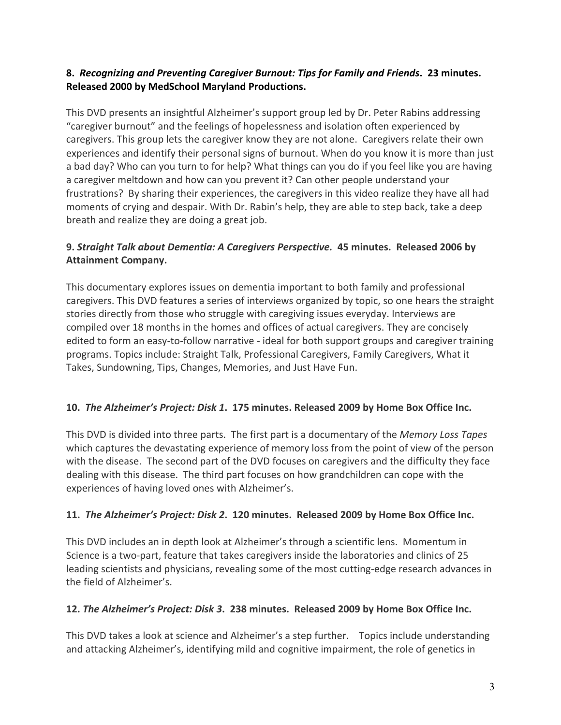## 8. Recognizing and Preventing Caregiver Burnout: Tips for Family and Friends. 23 minutes. **Released 2000 by MedSchool Maryland Productions.**

This DVD presents an insightful Alzheimer's support group led by Dr. Peter Rabins addressing "caregiver burnout" and the feelings of hopelessness and isolation often experienced by caregivers. This group lets the caregiver know they are not alone. Caregivers relate their own experiences and identify their personal signs of burnout. When do you know it is more than just a bad day? Who can you turn to for help? What things can you do if you feel like you are having a caregiver meltdown and how can you prevent it? Can other people understand your frustrations? By sharing their experiences, the caregivers in this video realize they have all had moments of crying and despair. With Dr. Rabin's help, they are able to step back, take a deep breath and realize they are doing a great job.

## **9. Straight Talk about Dementia: A Caregivers Perspective. 45 minutes. Released 2006 by Attainment Company.**

This documentary explores issues on dementia important to both family and professional caregivers. This DVD features a series of interviews organized by topic, so one hears the straight stories directly from those who struggle with caregiving issues everyday. Interviews are compiled over 18 months in the homes and offices of actual caregivers. They are concisely edited to form an easy-to-follow narrative - ideal for both support groups and caregiver training programs. Topics include: Straight Talk, Professional Caregivers, Family Caregivers, What it Takes, Sundowning, Tips, Changes, Memories, and Just Have Fun.

## 10. The Alzheimer's Project: Disk 1. 175 minutes. Released 2009 by Home Box Office Inc.

This DVD is divided into three parts. The first part is a documentary of the *Memory Loss Tapes* which captures the devastating experience of memory loss from the point of view of the person with the disease. The second part of the DVD focuses on caregivers and the difficulty they face dealing with this disease. The third part focuses on how grandchildren can cope with the experiences of having loved ones with Alzheimer's.

#### **11.** The Alzheimer's Project: Disk 2. 120 minutes. Released 2009 by Home Box Office Inc.

This DVD includes an in depth look at Alzheimer's through a scientific lens. Momentum in Science is a two-part, feature that takes caregivers inside the laboratories and clinics of 25 leading scientists and physicians, revealing some of the most cutting-edge research advances in the field of Alzheimer's.

## 12. *The Alzheimer's Project: Disk 3.* 238 minutes. Released 2009 by Home Box Office Inc.

This DVD takes a look at science and Alzheimer's a step further. Topics include understanding and attacking Alzheimer's, identifying mild and cognitive impairment, the role of genetics in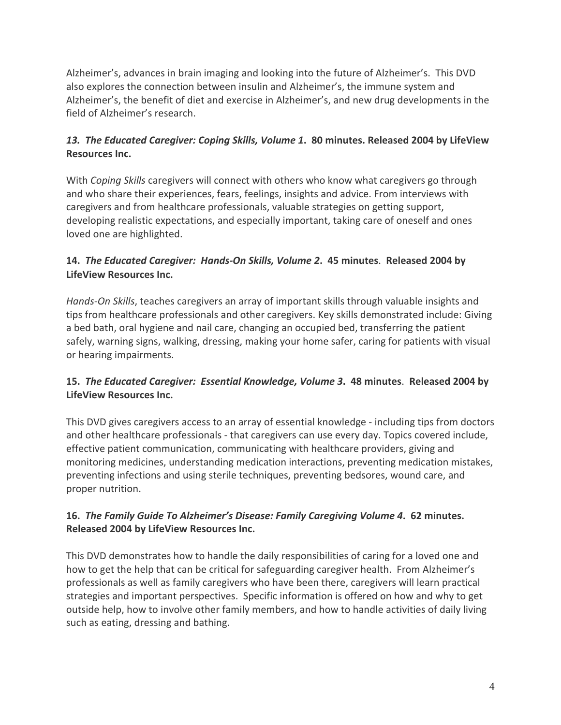Alzheimer's, advances in brain imaging and looking into the future of Alzheimer's. This DVD also explores the connection between insulin and Alzheimer's, the immune system and Alzheimer's, the benefit of diet and exercise in Alzheimer's, and new drug developments in the field of Alzheimer's research.

## 13. The Educated Caregiver: Coping Skills, Volume 1. 80 minutes. Released 2004 by LifeView **Resources Inc.**

With *Coping Skills* caregivers will connect with others who know what caregivers go through and who share their experiences, fears, feelings, insights and advice. From interviews with caregivers and from healthcare professionals, valuable strategies on getting support, developing realistic expectations, and especially important, taking care of oneself and ones loved one are highlighted.

## 14. *The Educated Caregiver: Hands-On Skills, Volume 2. 45 minutes. Released 2004 by* **LifeView Resources Inc.**

*Hands-On Skills*, teaches caregivers an array of important skills through valuable insights and tips from healthcare professionals and other caregivers. Key skills demonstrated include: Giving a bed bath, oral hygiene and nail care, changing an occupied bed, transferring the patient safely, warning signs, walking, dressing, making your home safer, caring for patients with visual or hearing impairments.

## **15.** The Educated Caregiver: Essential Knowledge, Volume 3. 48 minutes. Released 2004 by **LifeView Resources Inc.**

This DVD gives caregivers access to an array of essential knowledge - including tips from doctors and other healthcare professionals - that caregivers can use every day. Topics covered include, effective patient communication, communicating with healthcare providers, giving and monitoring medicines, understanding medication interactions, preventing medication mistakes, preventing infections and using sterile techniques, preventing bedsores, wound care, and proper nutrition.

## 16. The Family Guide To Alzheimer's Disease: Family Caregiving Volume 4. 62 minutes. **Released 2004 by LifeView Resources Inc.**

This DVD demonstrates how to handle the daily responsibilities of caring for a loved one and how to get the help that can be critical for safeguarding caregiver health. From Alzheimer's professionals as well as family caregivers who have been there, caregivers will learn practical strategies and important perspectives. Specific information is offered on how and why to get outside help, how to involve other family members, and how to handle activities of daily living such as eating, dressing and bathing.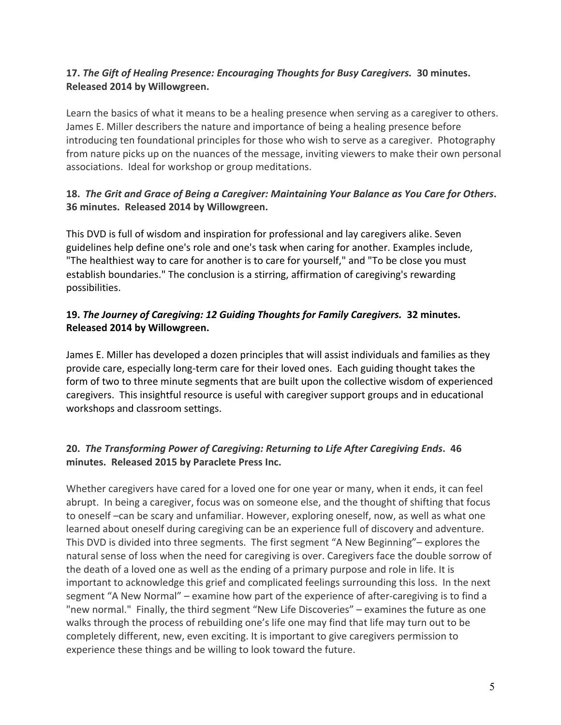## **17.** The Gift of Healing Presence: Encouraging Thoughts for Busy Caregivers. 30 minutes. **Released 2014 by Willowgreen.**

Learn the basics of what it means to be a healing presence when serving as a caregiver to others. James E. Miller describers the nature and importance of being a healing presence before introducing ten foundational principles for those who wish to serve as a caregiver. Photography from nature picks up on the nuances of the message, inviting viewers to make their own personal associations. Ideal for workshop or group meditations.

## **18.** The Grit and Grace of Being a Caregiver: Maintaining Your Balance as You Care for Others. **36 minutes. Released 2014 by Willowgreen.**

This DVD is full of wisdom and inspiration for professional and lay caregivers alike. Seven guidelines help define one's role and one's task when caring for another. Examples include, "The healthiest way to care for another is to care for yourself," and "To be close you must establish boundaries." The conclusion is a stirring, affirmation of caregiving's rewarding possibilities.

## **19. The Journey of Caregiving: 12 Guiding Thoughts for Family Caregivers. 32 minutes. Released 2014 by Willowgreen.**

James E. Miller has developed a dozen principles that will assist individuals and families as they provide care, especially long-term care for their loved ones. Each guiding thought takes the form of two to three minute segments that are built upon the collective wisdom of experienced caregivers. This insightful resource is useful with caregiver support groups and in educational workshops and classroom settings.

## 20. The Transforming Power of Caregiving: Returning to Life After Caregiving Ends. 46 **minutes. Released 2015 by Paraclete Press Inc.**

Whether caregivers have cared for a loved one for one year or many, when it ends, it can feel abrupt. In being a caregiver, focus was on someone else, and the thought of shifting that focus to oneself –can be scary and unfamiliar. However, exploring oneself, now, as well as what one learned about oneself during caregiving can be an experience full of discovery and adventure. This DVD is divided into three segments. The first segment "A New Beginning"– explores the natural sense of loss when the need for caregiving is over. Caregivers face the double sorrow of the death of a loved one as well as the ending of a primary purpose and role in life. It is important to acknowledge this grief and complicated feelings surrounding this loss. In the next segment "A New Normal"  $-$  examine how part of the experience of after-caregiving is to find a "new normal." Finally, the third segment "New Life Discoveries" – examines the future as one walks through the process of rebuilding one's life one may find that life may turn out to be completely different, new, even exciting. It is important to give caregivers permission to experience these things and be willing to look toward the future.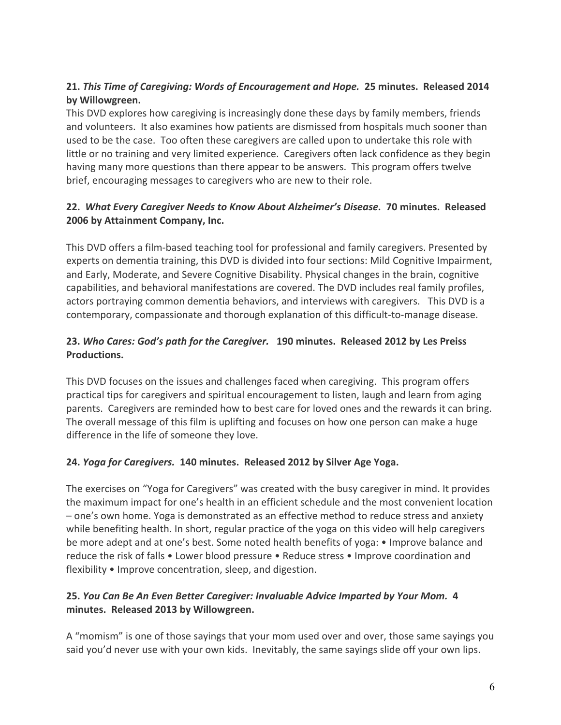## **21.** *This Time of Caregiving: Words of Encouragement and Hope.* 25 minutes. Released 2014 **by Willowgreen.**

This DVD explores how caregiving is increasingly done these days by family members, friends and volunteers. It also examines how patients are dismissed from hospitals much sooner than used to be the case. Too often these caregivers are called upon to undertake this role with little or no training and very limited experience. Caregivers often lack confidence as they begin having many more questions than there appear to be answers. This program offers twelve brief, encouraging messages to caregivers who are new to their role.

## **22. What Every Caregiver Needs to Know About Alzheimer's Disease. 70 minutes. Released 2006 by Attainment Company, Inc.**

This DVD offers a film-based teaching tool for professional and family caregivers. Presented by experts on dementia training, this DVD is divided into four sections: Mild Cognitive Impairment, and Early, Moderate, and Severe Cognitive Disability. Physical changes in the brain, cognitive capabilities, and behavioral manifestations are covered. The DVD includes real family profiles, actors portraying common dementia behaviors, and interviews with caregivers. This DVD is a contemporary, compassionate and thorough explanation of this difficult-to-manage disease.

## 23. Who Cares: God's path for the Caregiver. 190 minutes. Released 2012 by Les Preiss **Productions.**

This DVD focuses on the issues and challenges faced when caregiving. This program offers practical tips for caregivers and spiritual encouragement to listen, laugh and learn from aging parents. Caregivers are reminded how to best care for loved ones and the rewards it can bring. The overall message of this film is uplifting and focuses on how one person can make a huge difference in the life of someone they love.

#### 24. *Yoga for Caregivers.* 140 minutes. Released 2012 by Silver Age Yoga.

The exercises on "Yoga for Caregivers" was created with the busy caregiver in mind. It provides the maximum impact for one's health in an efficient schedule and the most convenient location – one's own home. Yoga is demonstrated as an effective method to reduce stress and anxiety while benefiting health. In short, regular practice of the yoga on this video will help caregivers be more adept and at one's best. Some noted health benefits of yoga: • Improve balance and reduce the risk of falls • Lower blood pressure • Reduce stress • Improve coordination and flexibility • Improve concentration, sleep, and digestion.

## **25. You Can Be An Even Better Caregiver: Invaluable Advice Imparted by Your Mom. 4 minutes. Released 2013 by Willowgreen.**

A "momism" is one of those sayings that your mom used over and over, those same sayings you said you'd never use with your own kids. Inevitably, the same sayings slide off your own lips.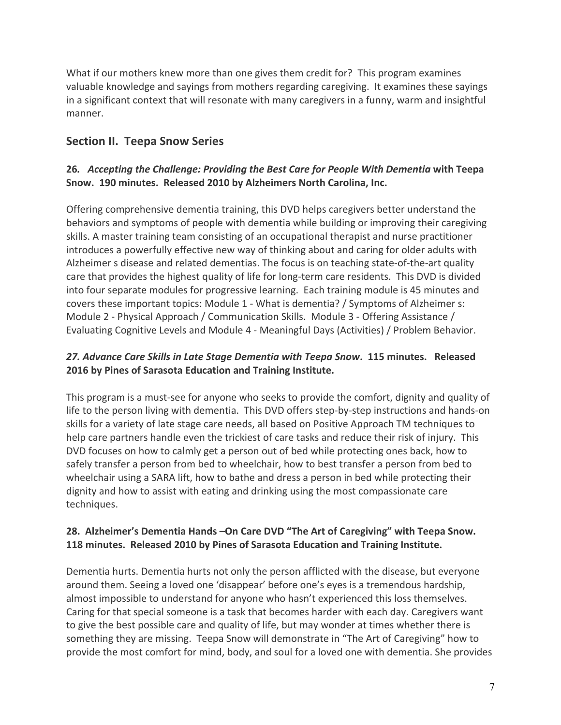What if our mothers knew more than one gives them credit for? This program examines valuable knowledge and sayings from mothers regarding caregiving. It examines these sayings in a significant context that will resonate with many caregivers in a funny, warm and insightful manner. 

## **Section II. Teepa Snow Series**

#### **26.** Accepting the Challenge: Providing the Best Care for People With Dementia with Teepa **Snow. 190 minutes. Released 2010 by Alzheimers North Carolina, Inc.**

Offering comprehensive dementia training, this DVD helps caregivers better understand the behaviors and symptoms of people with dementia while building or improving their caregiving skills. A master training team consisting of an occupational therapist and nurse practitioner introduces a powerfully effective new way of thinking about and caring for older adults with Alzheimer s disease and related dementias. The focus is on teaching state-of-the-art quality care that provides the highest quality of life for long-term care residents. This DVD is divided into four separate modules for progressive learning. Each training module is 45 minutes and covers these important topics: Module 1 - What is dementia? / Symptoms of Alzheimer s: Module 2 - Physical Approach / Communication Skills. Module 3 - Offering Assistance / Evaluating Cognitive Levels and Module 4 - Meaningful Days (Activities) / Problem Behavior.

## 27. Advance Care Skills in Late Stage Dementia with Teepa Snow. 115 minutes. Released **2016** by Pines of Sarasota Education and Training Institute.

This program is a must-see for anyone who seeks to provide the comfort, dignity and quality of life to the person living with dementia. This DVD offers step-by-step instructions and hands-on skills for a variety of late stage care needs, all based on Positive Approach TM techniques to help care partners handle even the trickiest of care tasks and reduce their risk of injury. This DVD focuses on how to calmly get a person out of bed while protecting ones back, how to safely transfer a person from bed to wheelchair, how to best transfer a person from bed to wheelchair using a SARA lift, how to bathe and dress a person in bed while protecting their dignity and how to assist with eating and drinking using the most compassionate care techniques.

#### 28. Alzheimer's Dementia Hands - On Care DVD "The Art of Caregiving" with Teepa Snow. **118 minutes. Released 2010 by Pines of Sarasota Education and Training Institute.**

Dementia hurts. Dementia hurts not only the person afflicted with the disease, but everyone around them. Seeing a loved one 'disappear' before one's eyes is a tremendous hardship, almost impossible to understand for anyone who hasn't experienced this loss themselves. Caring for that special someone is a task that becomes harder with each day. Caregivers want to give the best possible care and quality of life, but may wonder at times whether there is something they are missing. Teepa Snow will demonstrate in "The Art of Caregiving" how to provide the most comfort for mind, body, and soul for a loved one with dementia. She provides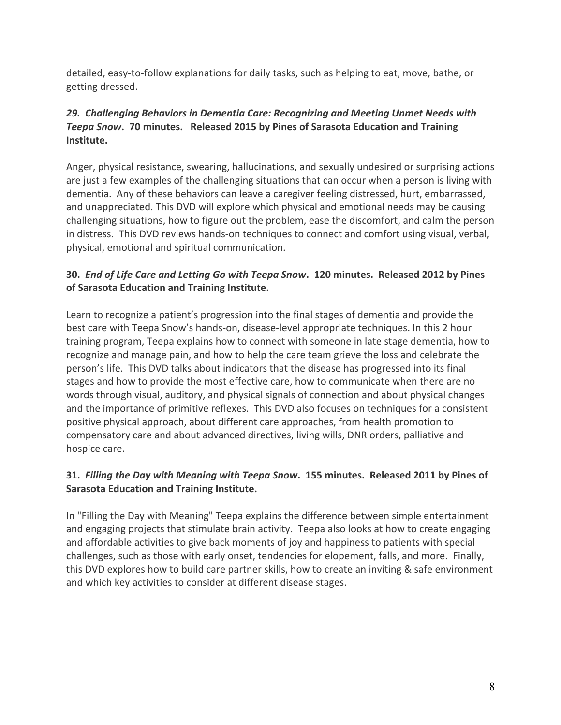detailed, easy-to-follow explanations for daily tasks, such as helping to eat, move, bathe, or getting dressed.

## **29. Challenging Behaviors in Dementia Care: Recognizing and Meeting Unmet Needs with Teepa Snow. 70** minutes. Released 2015 by Pines of Sarasota Education and Training **Institute.**

Anger, physical resistance, swearing, hallucinations, and sexually undesired or surprising actions are just a few examples of the challenging situations that can occur when a person is living with dementia. Any of these behaviors can leave a caregiver feeling distressed, hurt, embarrassed, and unappreciated. This DVD will explore which physical and emotional needs may be causing challenging situations, how to figure out the problem, ease the discomfort, and calm the person in distress. This DVD reviews hands-on techniques to connect and comfort using visual, verbal, physical, emotional and spiritual communication.

#### **30. End of Life Care and Letting Go with Teepa Snow. 120 minutes. Released 2012 by Pines of Sarasota Education and Training Institute.**

Learn to recognize a patient's progression into the final stages of dementia and provide the best care with Teepa Snow's hands-on, disease-level appropriate techniques. In this 2 hour training program, Teepa explains how to connect with someone in late stage dementia, how to recognize and manage pain, and how to help the care team grieve the loss and celebrate the person's life. This DVD talks about indicators that the disease has progressed into its final stages and how to provide the most effective care, how to communicate when there are no words through visual, auditory, and physical signals of connection and about physical changes and the importance of primitive reflexes. This DVD also focuses on techniques for a consistent positive physical approach, about different care approaches, from health promotion to compensatory care and about advanced directives, living wills, DNR orders, palliative and hospice care.

## **31. Filling the Day with Meaning with Teepa Snow. 155 minutes. Released 2011 by Pines of Sarasota Education and Training Institute.**

In "Filling the Day with Meaning" Teepa explains the difference between simple entertainment and engaging projects that stimulate brain activity. Teepa also looks at how to create engaging and affordable activities to give back moments of joy and happiness to patients with special challenges, such as those with early onset, tendencies for elopement, falls, and more. Finally, this DVD explores how to build care partner skills, how to create an inviting & safe environment and which key activities to consider at different disease stages.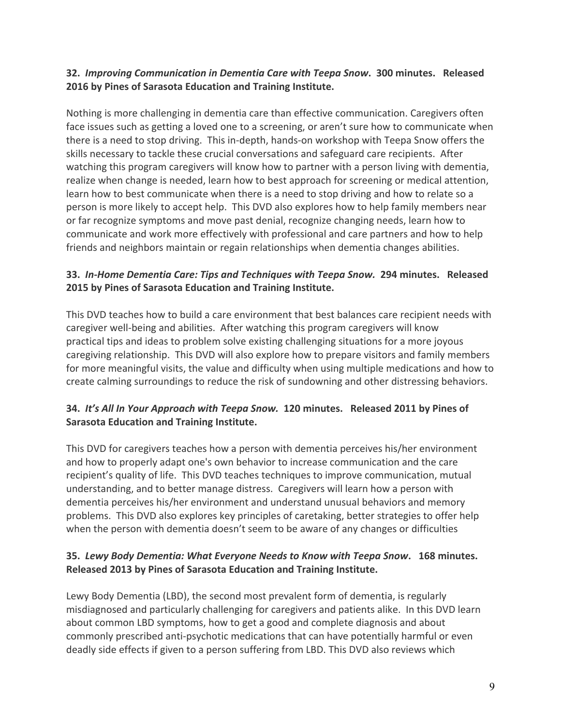#### **32. Improving Communication in Dementia Care with Teepa Snow. 300 minutes. Released 2016** by Pines of Sarasota Education and Training Institute.

Nothing is more challenging in dementia care than effective communication. Caregivers often face issues such as getting a loved one to a screening, or aren't sure how to communicate when there is a need to stop driving. This in-depth, hands-on workshop with Teepa Snow offers the skills necessary to tackle these crucial conversations and safeguard care recipients. After watching this program caregivers will know how to partner with a person living with dementia, realize when change is needed, learn how to best approach for screening or medical attention, learn how to best communicate when there is a need to stop driving and how to relate so a person is more likely to accept help. This DVD also explores how to help family members near or far recognize symptoms and move past denial, recognize changing needs, learn how to communicate and work more effectively with professional and care partners and how to help friends and neighbors maintain or regain relationships when dementia changes abilities.

## **33. In-Home Dementia Care: Tips and Techniques with Teepa Snow. 294 minutes. Released 2015** by Pines of Sarasota Education and Training Institute.

This DVD teaches how to build a care environment that best balances care recipient needs with caregiver well-being and abilities. After watching this program caregivers will know practical tips and ideas to problem solve existing challenging situations for a more joyous caregiving relationship. This DVD will also explore how to prepare visitors and family members for more meaningful visits, the value and difficulty when using multiple medications and how to create calming surroundings to reduce the risk of sundowning and other distressing behaviors.

## **34.** It's All In Your Approach with Teepa Snow. 120 minutes. Released 2011 by Pines of **Sarasota Education and Training Institute.**

This DVD for caregivers teaches how a person with dementia perceives his/her environment and how to properly adapt one's own behavior to increase communication and the care recipient's quality of life. This DVD teaches techniques to improve communication, mutual understanding, and to better manage distress. Caregivers will learn how a person with dementia perceives his/her environment and understand unusual behaviors and memory problems. This DVD also explores key principles of caretaking, better strategies to offer help when the person with dementia doesn't seem to be aware of any changes or difficulties

## **35. Lewy Body Dementia: What Everyone Needs to Know with Teepa Snow. 168 minutes. Released 2013 by Pines of Sarasota Education and Training Institute.**

Lewy Body Dementia (LBD), the second most prevalent form of dementia, is regularly misdiagnosed and particularly challenging for caregivers and patients alike. In this DVD learn about common LBD symptoms, how to get a good and complete diagnosis and about commonly prescribed anti-psychotic medications that can have potentially harmful or even deadly side effects if given to a person suffering from LBD. This DVD also reviews which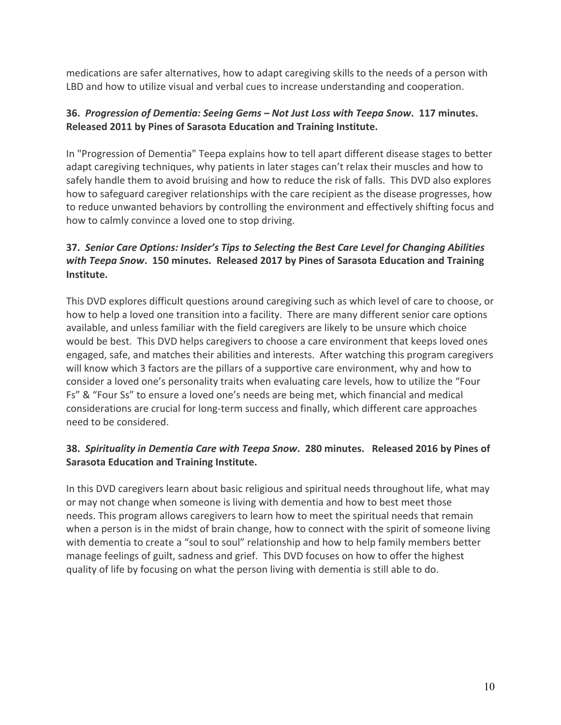medications are safer alternatives, how to adapt caregiving skills to the needs of a person with LBD and how to utilize visual and verbal cues to increase understanding and cooperation.

## **36. Progression of Dementia: Seeing Gems – Not Just Loss with Teepa Snow. 117 minutes. Released 2011 by Pines of Sarasota Education and Training Institute.**

In "Progression of Dementia" Teepa explains how to tell apart different disease stages to better adapt caregiving techniques, why patients in later stages can't relax their muscles and how to safely handle them to avoid bruising and how to reduce the risk of falls. This DVD also explores how to safeguard caregiver relationships with the care recipient as the disease progresses, how to reduce unwanted behaviors by controlling the environment and effectively shifting focus and how to calmly convince a loved one to stop driving.

## **37. Senior Care Options: Insider's Tips to Selecting the Best Care Level for Changing Abilities** *with Teepa Snow*. 150 minutes. Released 2017 by Pines of Sarasota Education and Training **Institute.**

This DVD explores difficult questions around caregiving such as which level of care to choose, or how to help a loved one transition into a facility. There are many different senior care options available, and unless familiar with the field caregivers are likely to be unsure which choice would be best. This DVD helps caregivers to choose a care environment that keeps loved ones engaged, safe, and matches their abilities and interests. After watching this program caregivers will know which 3 factors are the pillars of a supportive care environment, why and how to consider a loved one's personality traits when evaluating care levels, how to utilize the "Four Fs" & "Four Ss" to ensure a loved one's needs are being met, which financial and medical considerations are crucial for long-term success and finally, which different care approaches need to be considered.

## **38. Spirituality in Dementia Care with Teepa Snow. 280 minutes. Released 2016 by Pines of Sarasota Education and Training Institute.**

In this DVD caregivers learn about basic religious and spiritual needs throughout life, what may or may not change when someone is living with dementia and how to best meet those needs. This program allows caregivers to learn how to meet the spiritual needs that remain when a person is in the midst of brain change, how to connect with the spirit of someone living with dementia to create a "soul to soul" relationship and how to help family members better manage feelings of guilt, sadness and grief. This DVD focuses on how to offer the highest quality of life by focusing on what the person living with dementia is still able to do.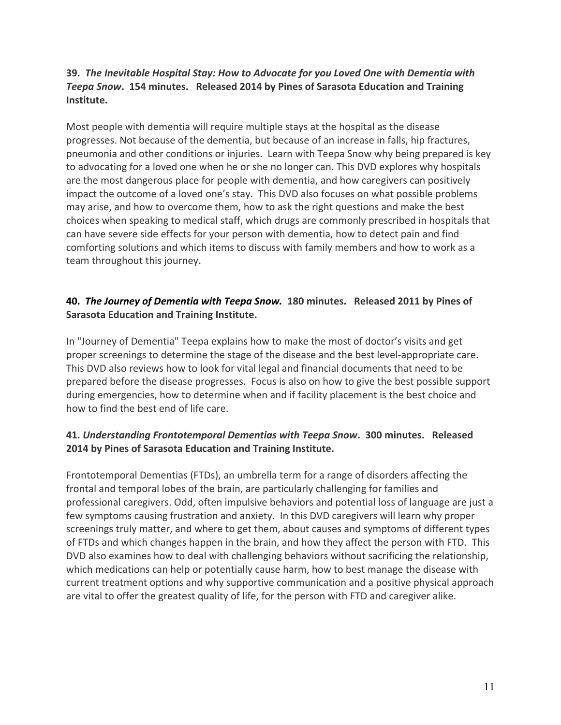## **39. The Inevitable Hospital Stay: How to Advocate for you Loved One with Dementia with Teepa Snow.** 154 minutes. Released 2014 by Pines of Sarasota Education and Training **Institute.**

Most people with dementia will require multiple stays at the hospital as the disease progresses. Not because of the dementia, but because of an increase in falls, hip fractures, pneumonia and other conditions or injuries. Learn with Teepa Snow why being prepared is key to advocating for a loved one when he or she no longer can. This DVD explores why hospitals are the most dangerous place for people with dementia, and how caregivers can positively impact the outcome of a loved one's stay. This DVD also focuses on what possible problems may arise, and how to overcome them, how to ask the right questions and make the best choices when speaking to medical staff, which drugs are commonly prescribed in hospitals that can have severe side effects for your person with dementia, how to detect pain and find comforting solutions and which items to discuss with family members and how to work as a team throughout this journey.

#### 40. The Journey of Dementia with Teepa Snow. 180 minutes. Released 2011 by Pines of **Sarasota Education and Training Institute.**

In "Journey of Dementia" Teepa explains how to make the most of doctor's visits and get proper screenings to determine the stage of the disease and the best level-appropriate care. This DVD also reviews how to look for vital legal and financial documents that need to be prepared before the disease progresses. Focus is also on how to give the best possible support during emergencies, how to determine when and if facility placement is the best choice and how to find the best end of life care.

## **41. Understanding Frontotemporal Dementias with Teepa Snow. 300 minutes. Released 2014** by Pines of Sarasota Education and Training Institute.

Frontotemporal Dementias (FTDs), an umbrella term for a range of disorders affecting the frontal and temporal lobes of the brain, are particularly challenging for families and professional caregivers. Odd, often impulsive behaviors and potential loss of language are just a few symptoms causing frustration and anxiety. In this DVD caregivers will learn why proper screenings truly matter, and where to get them, about causes and symptoms of different types of FTDs and which changes happen in the brain, and how they affect the person with FTD. This DVD also examines how to deal with challenging behaviors without sacrificing the relationship, which medications can help or potentially cause harm, how to best manage the disease with current treatment options and why supportive communication and a positive physical approach are vital to offer the greatest quality of life, for the person with FTD and caregiver alike.